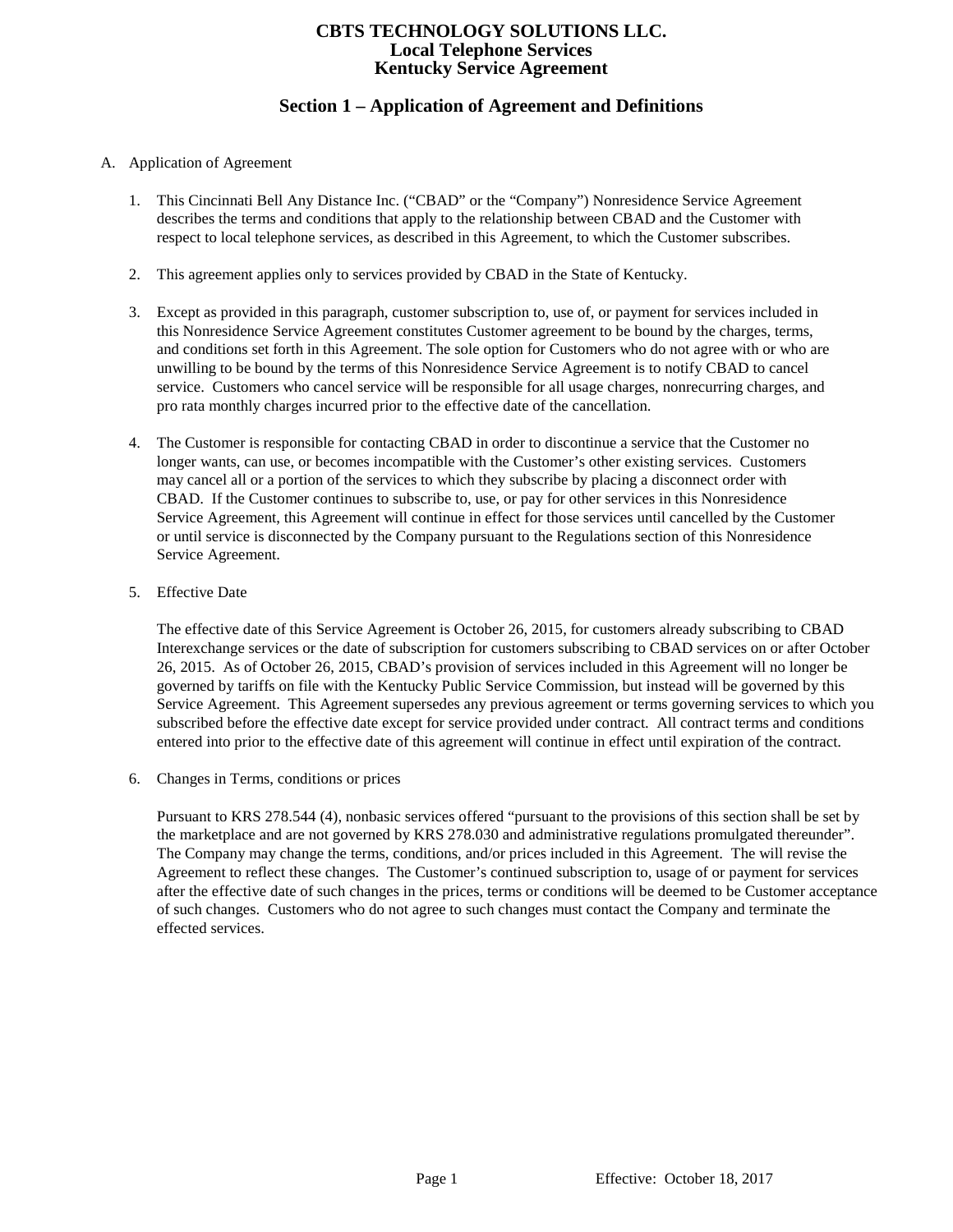# **Section 1 – Application of Agreement and Definitions**

#### A. Application of Agreement

- 1. This Cincinnati Bell Any Distance Inc. ("CBAD" or the "Company") Nonresidence Service Agreement describes the terms and conditions that apply to the relationship between CBAD and the Customer with respect to local telephone services, as described in this Agreement, to which the Customer subscribes.
- 2. This agreement applies only to services provided by CBAD in the State of Kentucky.
- 3. Except as provided in this paragraph, customer subscription to, use of, or payment for services included in this Nonresidence Service Agreement constitutes Customer agreement to be bound by the charges, terms, and conditions set forth in this Agreement. The sole option for Customers who do not agree with or who are unwilling to be bound by the terms of this Nonresidence Service Agreement is to notify CBAD to cancel service. Customers who cancel service will be responsible for all usage charges, nonrecurring charges, and pro rata monthly charges incurred prior to the effective date of the cancellation.
- 4. The Customer is responsible for contacting CBAD in order to discontinue a service that the Customer no longer wants, can use, or becomes incompatible with the Customer's other existing services. Customers may cancel all or a portion of the services to which they subscribe by placing a disconnect order with CBAD. If the Customer continues to subscribe to, use, or pay for other services in this Nonresidence Service Agreement, this Agreement will continue in effect for those services until cancelled by the Customer or until service is disconnected by the Company pursuant to the Regulations section of this Nonresidence Service Agreement.
- 5. Effective Date

The effective date of this Service Agreement is October 26, 2015, for customers already subscribing to CBAD Interexchange services or the date of subscription for customers subscribing to CBAD services on or after October 26, 2015. As of October 26, 2015, CBAD's provision of services included in this Agreement will no longer be governed by tariffs on file with the Kentucky Public Service Commission, but instead will be governed by this Service Agreement. This Agreement supersedes any previous agreement or terms governing services to which you subscribed before the effective date except for service provided under contract. All contract terms and conditions entered into prior to the effective date of this agreement will continue in effect until expiration of the contract.

6. Changes in Terms, conditions or prices

Pursuant to KRS 278.544 (4), nonbasic services offered "pursuant to the provisions of this section shall be set by the marketplace and are not governed by KRS 278.030 and administrative regulations promulgated thereunder". The Company may change the terms, conditions, and/or prices included in this Agreement. The will revise the Agreement to reflect these changes. The Customer's continued subscription to, usage of or payment for services after the effective date of such changes in the prices, terms or conditions will be deemed to be Customer acceptance of such changes. Customers who do not agree to such changes must contact the Company and terminate the effected services.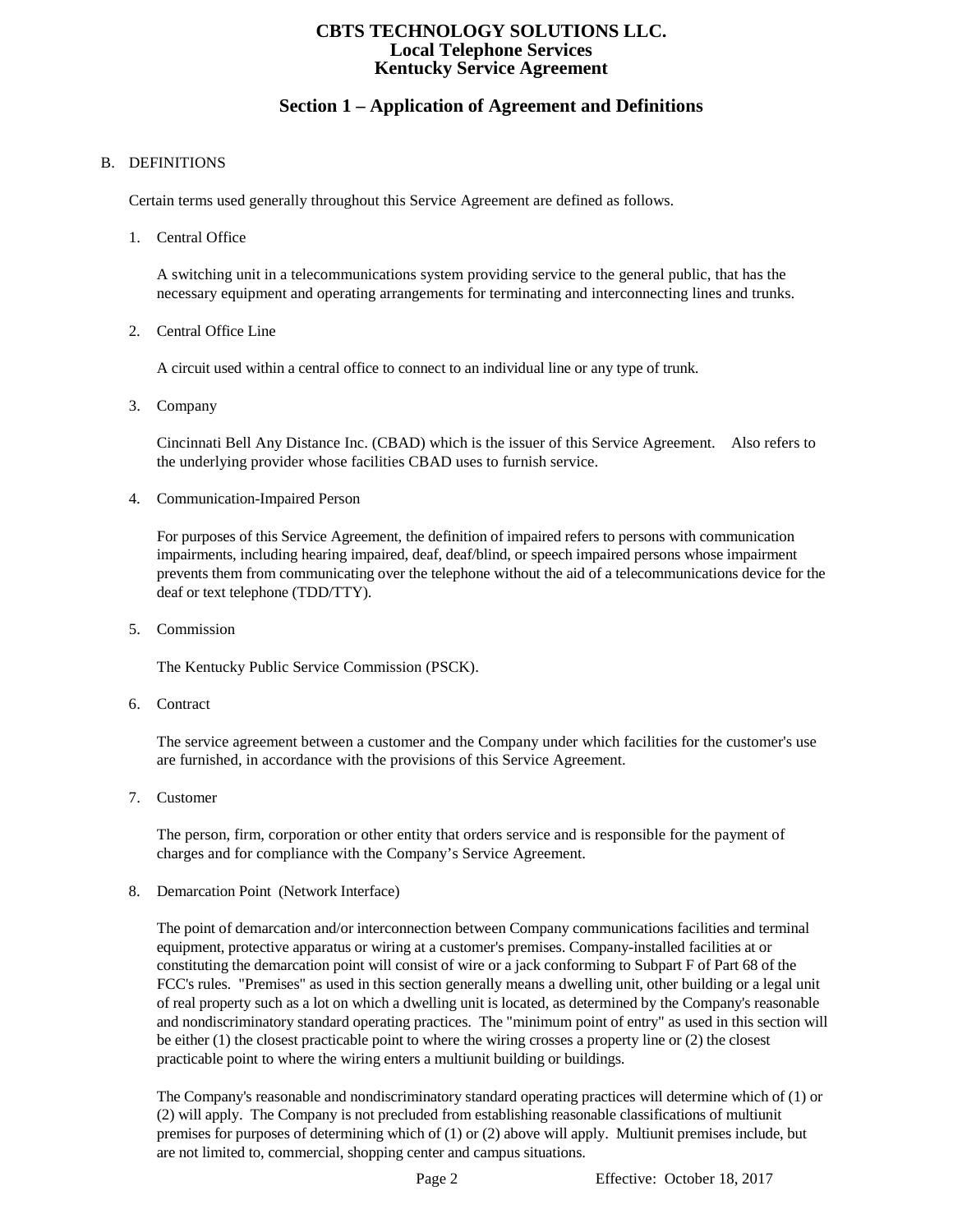# **Section 1 – Application of Agreement and Definitions**

#### B. DEFINITIONS

Certain terms used generally throughout this Service Agreement are defined as follows.

1. Central Office

A switching unit in a telecommunications system providing service to the general public, that has the necessary equipment and operating arrangements for terminating and interconnecting lines and trunks.

2. Central Office Line

A circuit used within a central office to connect to an individual line or any type of trunk.

3. Company

Cincinnati Bell Any Distance Inc. (CBAD) which is the issuer of this Service Agreement. Also refers to the underlying provider whose facilities CBAD uses to furnish service.

4. Communication-Impaired Person

For purposes of this Service Agreement, the definition of impaired refers to persons with communication impairments, including hearing impaired, deaf, deaf/blind, or speech impaired persons whose impairment prevents them from communicating over the telephone without the aid of a telecommunications device for the deaf or text telephone (TDD/TTY).

5. Commission

The Kentucky Public Service Commission (PSCK).

6. Contract

The service agreement between a customer and the Company under which facilities for the customer's use are furnished, in accordance with the provisions of this Service Agreement.

7. Customer

The person, firm, corporation or other entity that orders service and is responsible for the payment of charges and for compliance with the Company's Service Agreement.

8. Demarcation Point (Network Interface)

The point of demarcation and/or interconnection between Company communications facilities and terminal equipment, protective apparatus or wiring at a customer's premises. Company-installed facilities at or constituting the demarcation point will consist of wire or a jack conforming to Subpart F of Part 68 of the FCC's rules. "Premises" as used in this section generally means a dwelling unit, other building or a legal unit of real property such as a lot on which a dwelling unit is located, as determined by the Company's reasonable and nondiscriminatory standard operating practices. The "minimum point of entry" as used in this section will be either (1) the closest practicable point to where the wiring crosses a property line or (2) the closest practicable point to where the wiring enters a multiunit building or buildings.

The Company's reasonable and nondiscriminatory standard operating practices will determine which of (1) or (2) will apply. The Company is not precluded from establishing reasonable classifications of multiunit premises for purposes of determining which of (1) or (2) above will apply. Multiunit premises include, but are not limited to, commercial, shopping center and campus situations.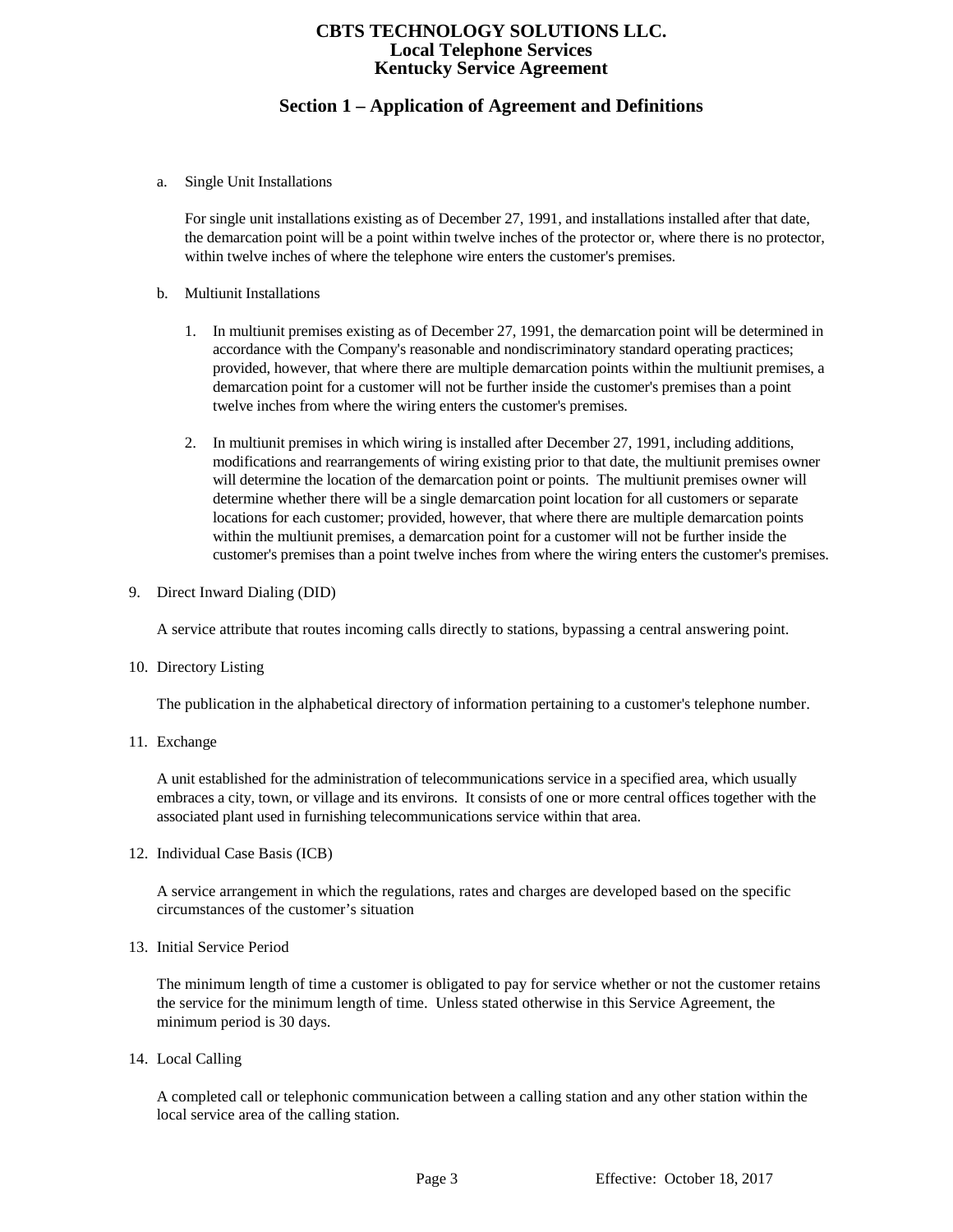# **Section 1 – Application of Agreement and Definitions**

a. Single Unit Installations

For single unit installations existing as of December 27, 1991, and installations installed after that date, the demarcation point will be a point within twelve inches of the protector or, where there is no protector, within twelve inches of where the telephone wire enters the customer's premises.

- b. Multiunit Installations
	- 1. In multiunit premises existing as of December 27, 1991, the demarcation point will be determined in accordance with the Company's reasonable and nondiscriminatory standard operating practices; provided, however, that where there are multiple demarcation points within the multiunit premises, a demarcation point for a customer will not be further inside the customer's premises than a point twelve inches from where the wiring enters the customer's premises.
	- 2. In multiunit premises in which wiring is installed after December 27, 1991, including additions, modifications and rearrangements of wiring existing prior to that date, the multiunit premises owner will determine the location of the demarcation point or points. The multiunit premises owner will determine whether there will be a single demarcation point location for all customers or separate locations for each customer; provided, however, that where there are multiple demarcation points within the multiunit premises, a demarcation point for a customer will not be further inside the customer's premises than a point twelve inches from where the wiring enters the customer's premises.
- 9. Direct Inward Dialing (DID)

A service attribute that routes incoming calls directly to stations, bypassing a central answering point.

10. Directory Listing

The publication in the alphabetical directory of information pertaining to a customer's telephone number.

11. Exchange

A unit established for the administration of telecommunications service in a specified area, which usually embraces a city, town, or village and its environs. It consists of one or more central offices together with the associated plant used in furnishing telecommunications service within that area.

12. Individual Case Basis (ICB)

A service arrangement in which the regulations, rates and charges are developed based on the specific circumstances of the customer's situation

13. Initial Service Period

The minimum length of time a customer is obligated to pay for service whether or not the customer retains the service for the minimum length of time. Unless stated otherwise in this Service Agreement, the minimum period is 30 days.

14. Local Calling

A completed call or telephonic communication between a calling station and any other station within the local service area of the calling station.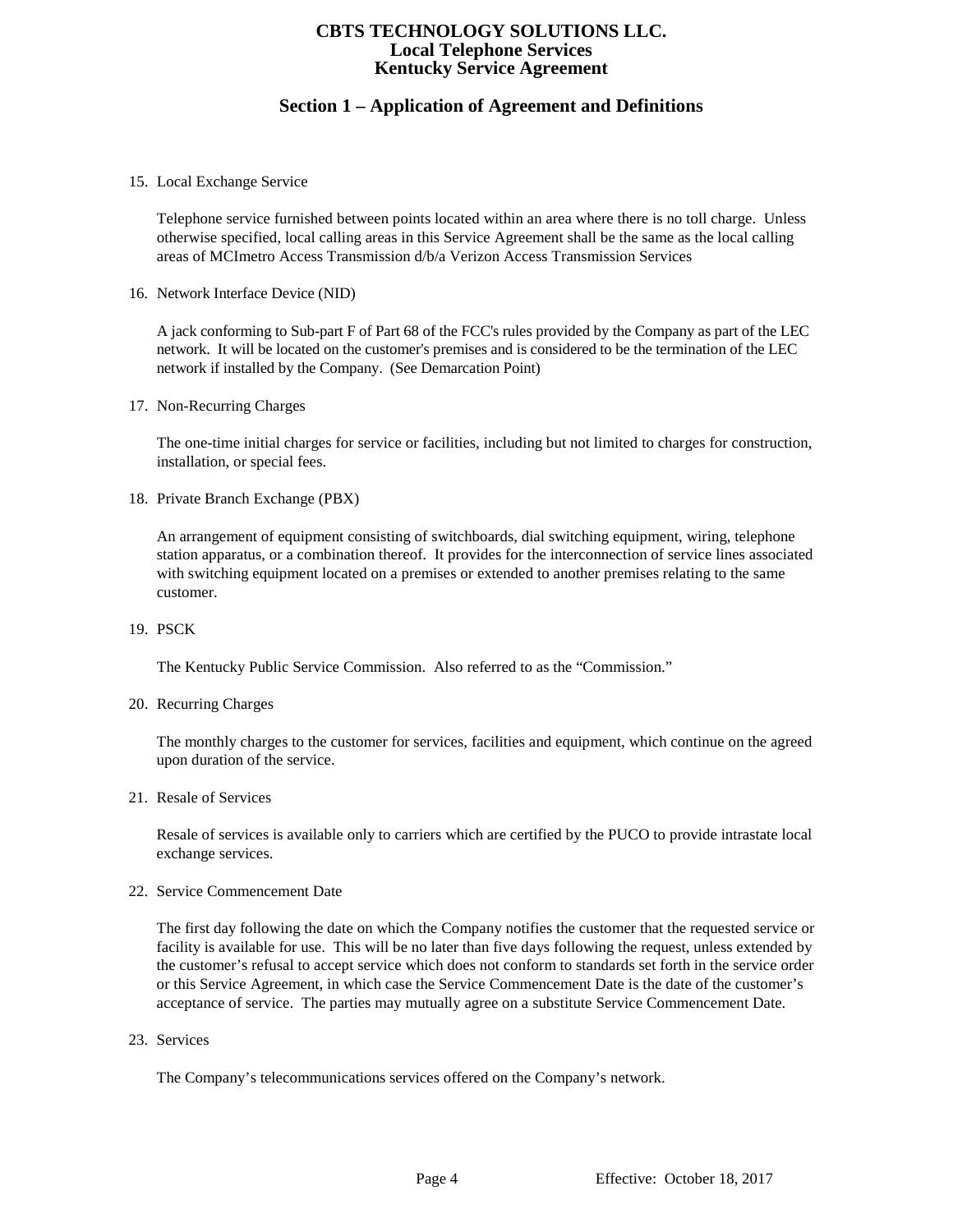# **Section 1 – Application of Agreement and Definitions**

15. Local Exchange Service

Telephone service furnished between points located within an area where there is no toll charge. Unless otherwise specified, local calling areas in this Service Agreement shall be the same as the local calling areas of MCImetro Access Transmission d/b/a Verizon Access Transmission Services

16. Network Interface Device (NID)

A jack conforming to Sub-part F of Part 68 of the FCC's rules provided by the Company as part of the LEC network. It will be located on the customer's premises and is considered to be the termination of the LEC network if installed by the Company. (See Demarcation Point)

17. Non-Recurring Charges

The one-time initial charges for service or facilities, including but not limited to charges for construction, installation, or special fees.

18. Private Branch Exchange (PBX)

An arrangement of equipment consisting of switchboards, dial switching equipment, wiring, telephone station apparatus, or a combination thereof. It provides for the interconnection of service lines associated with switching equipment located on a premises or extended to another premises relating to the same customer.

19. PSCK

The Kentucky Public Service Commission. Also referred to as the "Commission."

20. Recurring Charges

The monthly charges to the customer for services, facilities and equipment, which continue on the agreed upon duration of the service.

21. Resale of Services

Resale of services is available only to carriers which are certified by the PUCO to provide intrastate local exchange services.

22. Service Commencement Date

The first day following the date on which the Company notifies the customer that the requested service or facility is available for use. This will be no later than five days following the request, unless extended by the customer's refusal to accept service which does not conform to standards set forth in the service order or this Service Agreement, in which case the Service Commencement Date is the date of the customer's acceptance of service. The parties may mutually agree on a substitute Service Commencement Date.

23. Services

The Company's telecommunications services offered on the Company's network.